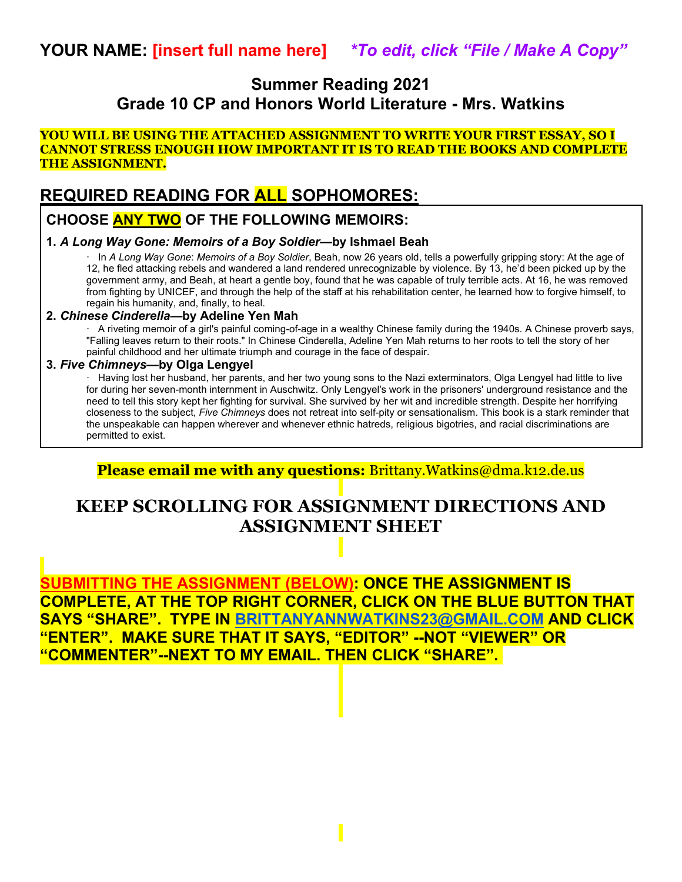## **Summer Reading 2021 Grade 10 CP and Honors World Literature - Mrs. Watkins**

#### **YOU WILL BE USING THE ATTACHED ASSIGNMENT TO WRITE YOUR FIRST ESSAY, SO I CANNOT STRESS ENOUGH HOW IMPORTANT IT IS TO READ THE BOOKS AND COMPLETE THE ASSIGNMENT.**

## **REQUIRED READING FOR ALL SOPHOMORES:**

## **CHOOSE ANY TWO OF THE FOLLOWING MEMOIRS:**

#### **1.** *A Long Way Gone: Memoirs of a Boy Soldier***—by Ishmael Beah**

· In *A Long Way Gone*: *Memoirs of a Boy Soldier*, Beah, now 26 years old, tells a powerfully gripping story: At the age of 12, he fled attacking rebels and wandered a land rendered unrecognizable by violence. By 13, he'd been picked up by the government army, and Beah, at heart a gentle boy, found that he was capable of truly terrible acts. At 16, he was removed from fighting by UNICEF, and through the help of the staff at his rehabilitation center, he learned how to forgive himself, to regain his humanity, and, finally, to heal.

#### **2.** *Chinese Cinderella—***by Adeline Yen Mah**

· A riveting memoir of a girl's painful coming-of-age in a wealthy Chinese family during the 1940s. A Chinese proverb says, "Falling leaves return to their roots." In Chinese Cinderella, Adeline Yen Mah returns to her roots to tell the story of her painful childhood and her ultimate triumph and courage in the face of despair.

#### **3.** *Five Chimneys—***by Olga Lengyel**

· Having lost her husband, her parents, and her two young sons to the Nazi exterminators, Olga Lengyel had little to live for during her seven-month internment in Auschwitz. Only Lengyel's work in the prisoners' underground resistance and the need to tell this story kept her fighting for survival. She survived by her wit and incredible strength. Despite her horrifying closeness to the subject, *Five Chimneys* does not retreat into self-pity or sensationalism. This book is a stark reminder that the unspeakable can happen wherever and whenever ethnic hatreds, religious bigotries, and racial discriminations are permitted to exist.

**Please email me with any questions:** Brittany.Watkins@dma.k12.de.us

# **KEEP SCROLLING FOR ASSIGNMENT DIRECTIONS AND ASSIGNMENT SHEET**

**SUBMITTING THE ASSIGNMENT (BELOW): ONCE THE ASSIGNMENT IS COMPLETE, AT THE TOP RIGHT CORNER, CLICK ON THE BLUE BUTTON THAT SAYS "SHARE". TYPE IN BRITTANYANNWATKINS23@GMAIL.COM AND CLICK "ENTER". MAKE SURE THAT IT SAYS, "EDITOR" --NOT "VIEWER" OR "COMMENTER"--NEXT TO MY EMAIL. THEN CLICK "SHARE".**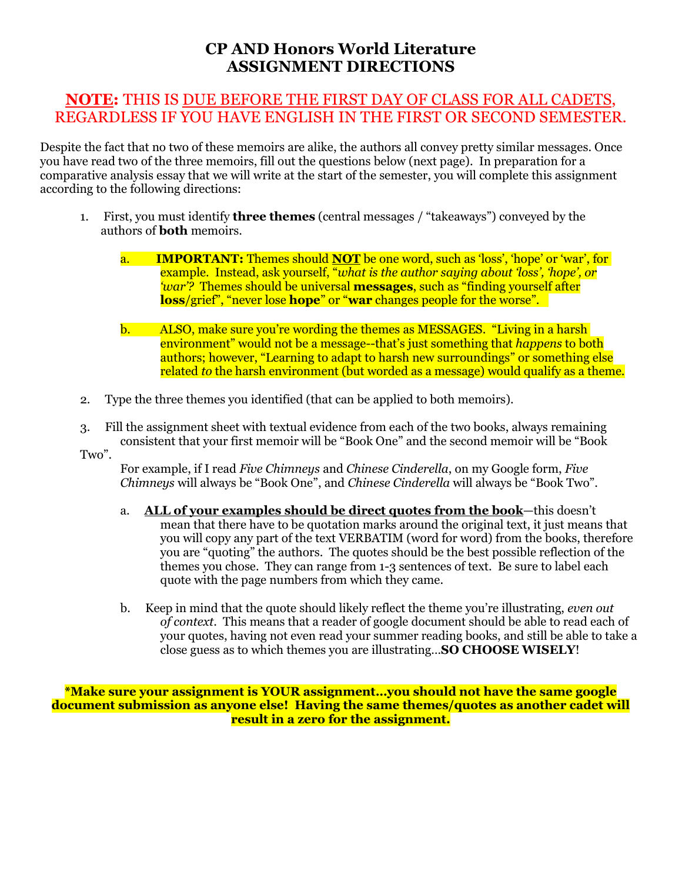## **CP AND Honors World Literature ASSIGNMENT DIRECTIONS**

## **NOTE:** THIS IS DUE BEFORE THE FIRST DAY OF CLASS FOR ALL CADETS, REGARDLESS IF YOU HAVE ENGLISH IN THE FIRST OR SECOND SEMESTER.

Despite the fact that no two of these memoirs are alike, the authors all convey pretty similar messages. Once you have read two of the three memoirs, fill out the questions below (next page). In preparation for a comparative analysis essay that we will write at the start of the semester, you will complete this assignment according to the following directions:

- 1. First, you must identify **three themes** (central messages / "takeaways") conveyed by the authors of **both** memoirs.
	- a. **IMPORTANT:** Themes should **NOT** be one word, such as 'loss', 'hope' or 'war', for example. Instead, ask yourself, "*what is the author saying about 'loss', 'hope', or 'war'?* Themes should be universal **messages**, such as "finding yourself after **loss**/grief", "never lose **hope**" or "**war** changes people for the worse".
	- b. ALSO, make sure you're wording the themes as MESSAGES. "Living in a harsh environment" would not be a message--that's just something that *happens* to both authors; however, "Learning to adapt to harsh new surroundings" or something else related *to* the harsh environment (but worded as a message) would qualify as a theme.
- 2. Type the three themes you identified (that can be applied to both memoirs).
- 3. Fill the assignment sheet with textual evidence from each of the two books, always remaining consistent that your first memoir will be "Book One" and the second memoir will be "Book
- Two".

For example, if I read *Five Chimneys* and *Chinese Cinderella*, on my Google form, *Five Chimneys* will always be "Book One", and *Chinese Cinderella* will always be "Book Two".

- a. **ALL of your examples should be direct quotes from the book**—this doesn't mean that there have to be quotation marks around the original text, it just means that you will copy any part of the text VERBATIM (word for word) from the books, therefore you are "quoting" the authors. The quotes should be the best possible reflection of the themes you chose. They can range from 1-3 sentences of text. Be sure to label each quote with the page numbers from which they came.
- b. Keep in mind that the quote should likely reflect the theme you're illustrating, *even out of context*. This means that a reader of google document should be able to read each of your quotes, having not even read your summer reading books, and still be able to take a close guess as to which themes you are illustrating…**SO CHOOSE WISELY**!

**\*Make sure your assignment is YOUR assignment…you should not have the same google document submission as anyone else! Having the same themes/quotes as another cadet will result in a zero for the assignment.**